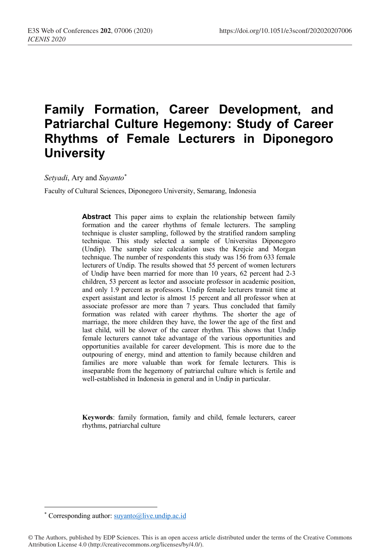# **Family Formation, Career Development, and Patriarchal Culture Hegemony: Study of Career Rhythms of Female Lecturers in Diponegoro University**

*Setyadi*, Ary and *Suyanto\**

Faculty of Cultural Sciences, Diponegoro University, Semarang, Indonesia

**Abstract** This paper aims to explain the relationship between family formation and the career rhythms of female lecturers. The sampling technique is cluster sampling, followed by the stratified random sampling technique. This study selected a sample of Universitas Diponegoro (Undip). The sample size calculation uses the Krejcie and Morgan technique. The number of respondents this study was 156 from 633 female lecturers of Undip. The results showed that 55 percent of women lecturers of Undip have been married for more than 10 years, 62 percent had 2-3 children, 53 percent as lector and associate professor in academic position, and only 1.9 percent as professors. Undip female lecturers transit time at expert assistant and lector is almost 15 percent and all professor when at associate professor are more than 7 years. Thus concluded that family formation was related with career rhythms. The shorter the age of marriage, the more children they have, the lower the age of the first and last child, will be slower of the career rhythm. This shows that Undip female lecturers cannot take advantage of the various opportunities and opportunities available for career development. This is more due to the outpouring of energy, mind and attention to family because children and families are more valuable than work for female lecturers. This is inseparable from the hegemony of patriarchal culture which is fertile and well-established in Indonesia in general and in Undip in particular.

**Keywords**: family formation, family and child, female lecturers, career rhythms, patriarchal culture

 <sup>\*</sup> Corresponding author: suyanto@live.undip.ac.id

<sup>©</sup> The Authors, published by EDP Sciences. This is an open access article distributed under the terms of the Creative Commons Attribution License 4.0 (http://creativecommons.org/licenses/by/4.0/).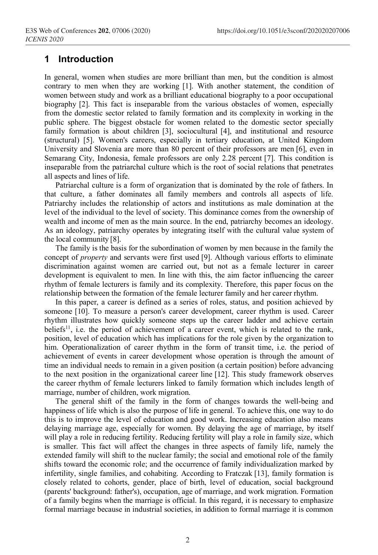### **1 Introduction**

In general, women when studies are more brilliant than men, but the condition is almost contrary to men when they are working [1]. With another statement, the condition of women between study and work as a brilliant educational biography to a poor occupational biography [2]. This fact is inseparable from the various obstacles of women, especially from the domestic sector related to family formation and its complexity in working in the public sphere. The biggest obstacle for women related to the domestic sector specially family formation is about children [3], sociocultural [4], and institutional and resource (structural) [5]. Women's careers, especially in tertiary education, at United Kingdom University and Slovenia are more than 80 percent of their professors are men [6], even in Semarang City, Indonesia, female professors are only 2.28 percent [7]. This condition is inseparable from the patriarchal culture which is the root of social relations that penetrates all aspects and lines of life.

Patriarchal culture is a form of organization that is dominated by the role of fathers. In that culture, a father dominates all family members and controls all aspects of life. Patriarchy includes the relationship of actors and institutions as male domination at the level of the individual to the level of society. This dominance comes from the ownership of wealth and income of men as the main source. In the end, patriarchy becomes an ideology. As an ideology, patriarchy operates by integrating itself with the cultural value system of the local community [8].

The family is the basis for the subordination of women by men because in the family the concept of *property* and servants were first used [9]. Although various efforts to eliminate discrimination against women are carried out, but not as a female lecturer in career development is equivalent to men. In line with this, the aim factor influencing the career rhythm of female lecturers is family and its complexity. Therefore, this paper focus on the relationship between the formation of the female lecturer family and her career rhythm.

In this paper, a career is defined as a series of roles, status, and position achieved by someone [10]. To measure a person's career development, career rhythm is used. Career rhythm illustrates how quickly someone steps up the career ladder and achieve certain beliefs<sup>11</sup>, i.e. the period of achievement of a career event, which is related to the rank, position, level of education which has implications for the role given by the organization to him. Operationalization of career rhythm in the form of transit time, i.e. the period of achievement of events in career development whose operation is through the amount of time an individual needs to remain in a given position (a certain position) before advancing to the next position in the organizational career line [12]. This study framework observes the career rhythm of female lecturers linked to family formation which includes length of marriage, number of children, work migration.

The general shift of the family in the form of changes towards the well-being and happiness of life which is also the purpose of life in general. To achieve this, one way to do this is to improve the level of education and good work. Increasing education also means delaying marriage age, especially for women. By delaying the age of marriage, by itself will play a role in reducing fertility. Reducing fertility will play a role in family size, which is smaller. This fact will affect the changes in three aspects of family life, namely the extended family will shift to the nuclear family; the social and emotional role of the family shifts toward the economic role; and the occurrence of family individualization marked by infertility, single families, and cohabiting. According to Fratczak [13], family formation is closely related to cohorts, gender, place of birth, level of education, social background (parents' background: father's), occupation, age of marriage, and work migration. Formation of a family begins when the marriage is official. In this regard, it is necessary to emphasize formal marriage because in industrial societies, in addition to formal marriage it is common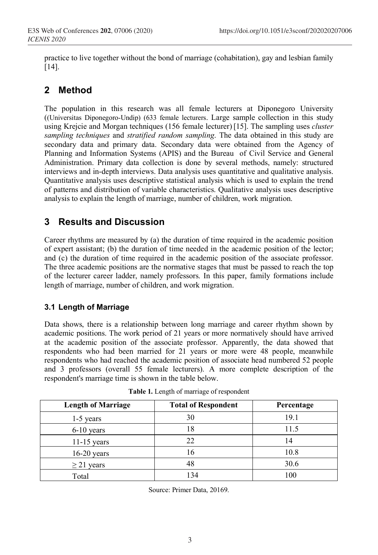practice to live together without the bond of marriage (cohabitation), gay and lesbian family [14].

# **2 Method**

The population in this research was all female lecturers at Diponegoro University ((Universitas Diponegoro-Undip) (633 female lecturers. Large sample collection in this study using Krejcie and Morgan techniques (156 female lecturer) [15]. The sampling uses *cluster sampling techniques* and *stratified random sampling*. The data obtained in this study are secondary data and primary data. Secondary data were obtained from the Agency of Planning and Information Systems (APIS) and the Bureau of Civil Service and General Administration. Primary data collection is done by several methods, namely: structured interviews and in-depth interviews. Data analysis uses quantitative and qualitative analysis. Quantitative analysis uses descriptive statistical analysis which is used to explain the trend of patterns and distribution of variable characteristics. Qualitative analysis uses descriptive analysis to explain the length of marriage, number of children, work migration.

## **3 Results and Discussion**

Career rhythms are measured by (a) the duration of time required in the academic position of expert assistant; (b) the duration of time needed in the academic position of the lector; and (c) the duration of time required in the academic position of the associate professor. The three academic positions are the normative stages that must be passed to reach the top of the lecturer career ladder, namely professors. In this paper, family formations include length of marriage, number of children, and work migration.

#### **3.1 Length of Marriage**

Data shows, there is a relationship between long marriage and career rhythm shown by academic positions. The work period of 21 years or more normatively should have arrived at the academic position of the associate professor. Apparently, the data showed that respondents who had been married for 21 years or more were 48 people, meanwhile respondents who had reached the academic position of associate head numbered 52 people and 3 professors (overall 55 female lecturers). A more complete description of the respondent's marriage time is shown in the table below.

| <b>Length of Marriage</b> | <b>Total of Respondent</b> | Percentage |
|---------------------------|----------------------------|------------|
| 1-5 years                 | 30                         | 19.1       |
| $6-10$ years              | 18                         | 11.5       |
| $11-15$ years             | 22                         | 14         |
| $16-20$ years             | 16                         | 10.8       |
| $\geq$ 21 years           | 48                         | 30.6       |
| Total                     | 134                        | 100        |

Source: Primer Data, 20169.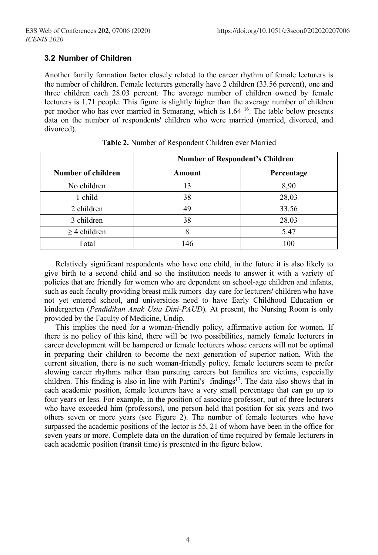#### **3.2 Number of Children**

Another family formation factor closely related to the career rhythm of female lecturers is the number of children. Female lecturers generally have 2 children (33.56 percent), one and three children each 28.03 percent. The average number of children owned by female lecturers is 1.71 people. This figure is slightly higher than the average number of children per mother who has ever married in Semarang, which is 1.64 16. The table below presents data on the number of respondents' children who were married (married, divorced, and divorced).

|                    | <b>Number of Respondent's Children</b> |            |
|--------------------|----------------------------------------|------------|
| Number of children | Amount                                 | Percentage |
| No children        | 13                                     | 8,90       |
| 1 child            | 38                                     | 28,03      |
| 2 children         | 49                                     | 33.56      |
| 3 children         | 38                                     | 28.03      |
| $\geq$ 4 children  | 8                                      | 5.47       |
| Total              | 146                                    | 100        |

| Table 2. Number of Respondent Children ever Married |
|-----------------------------------------------------|
|-----------------------------------------------------|

Relatively significant respondents who have one child, in the future it is also likely to give birth to a second child and so the institution needs to answer it with a variety of policies that are friendly for women who are dependent on school-age children and infants, such as each faculty providing breast milk rumors day care for lecturers' children who have not yet entered school, and universities need to have Early Childhood Education or kindergarten (*Pendidikan Anak Usia Dini-PAUD*). At present, the Nursing Room is only provided by the Faculty of Medicine, Undip.

This implies the need for a woman-friendly policy, affirmative action for women. If there is no policy of this kind, there will be two possibilities, namely female lecturers in career development will be hampered or female lecturers whose careers will not be optimal in preparing their children to become the next generation of superior nation. With the current situation, there is no such woman-friendly policy, female lecturers seem to prefer slowing career rhythms rather than pursuing careers but families are victims, especially children. This finding is also in line with Partini's findings<sup>17</sup>. The data also shows that in each academic position, female lecturers have a very small percentage that can go up to four years or less. For example, in the position of associate professor, out of three lecturers who have exceeded him (professors), one person held that position for six years and two others seven or more years (see Figure 2). The number of female lecturers who have surpassed the academic positions of the lector is 55, 21 of whom have been in the office for seven years or more. Complete data on the duration of time required by female lecturers in each academic position (transit time) is presented in the figure below.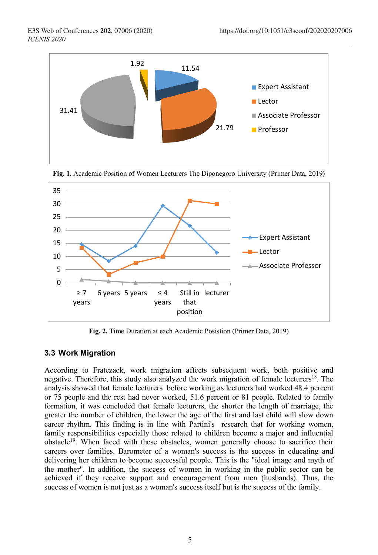



**Fig. 1.** Academic Position of Women Lecturers The Diponegoro University (Primer Data, 2019)

**Fig. 2.** Time Duration at each Academic Posistion (Primer Data, 2019)

#### **3.3 Work Migration**

According to Fratczack, work migration affects subsequent work, both positive and negative. Therefore, this study also analyzed the work migration of female lecturers<sup>18</sup>. The analysis showed that female lecturers before working as lecturers had worked 48.4 percent or 75 people and the rest had never worked, 51.6 percent or 81 people. Related to family formation, it was concluded that female lecturers, the shorter the length of marriage, the greater the number of children, the lower the age of the first and last child will slow down career rhythm. This finding is in line with Partini's research that for working women, family responsibilities especially those related to children become a major and influential obstacle<sup>19</sup>. When faced with these obstacles, women generally choose to sacrifice their careers over families. Barometer of a woman's success is the success in educating and delivering her children to become successful people. This is the "ideal image and myth of the mother". In addition, the success of women in working in the public sector can be achieved if they receive support and encouragement from men (husbands). Thus, the success of women is not just as a woman's success itself but is the success of the family.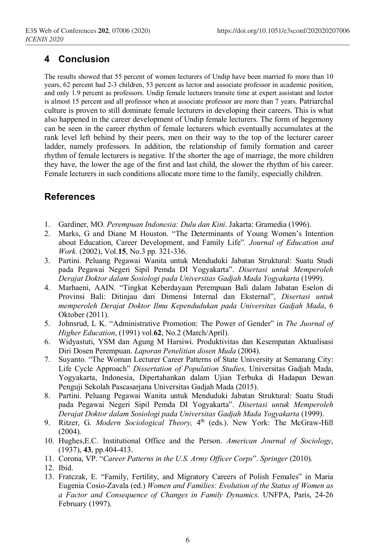# **4 Conclusion**

The results showed that 55 percent of women lecturers of Undip have been married fo more than 10 years, 62 percent had 2-3 children, 53 percent as lector and associate professor in academic position, and only 1.9 percent as professors. Undip female lecturers transite time at expert assistant and lector is almost 15 percent and all professor when at associate professor are more than 7 years. Patriarchal culture is proven to still dominate female lecturers in developing their careers. This is what also happened in the career development of Undip female lecturers. The form of hegemony can be seen in the career rhythm of female lecturers which eventually accumulates at the rank level left behind by their peers, men on their way to the top of the lecturer career ladder, namely professors. In addition, the relationship of family formation and career rhythm of female lecturers is negative. If the shorter the age of marriage, the more children they have, the lower the age of the first and last child, the slower the rhythm of his career. Female lecturers in such conditions allocate more time to the family, especially children.

## **References**

- 1. Gardiner, MO. *Perempuan Indonesia: Dulu dan Kini*. Jakarta: Gramedia (1996).
- 2. Marks, G and Diane M Houston. "The Determinants of Young Women's Intention about Education, Career Development, and Family Life"*. Journal of Education and Work.* (2002), Vol.**15**, No.3 pp. 321-336.
- 3. Partini. Peluang Pegawai Wanita untuk Menduduki Jabatan Struktural: Suatu Studi pada Pegawai Negeri Sipil Pemda DI Yogyakarta". *Disertasi untuk Memperoleh Derajat Doktor dalam Sosiologi pada Universitas Gadjah Mada Yogyakarta* (1999).
- 4. Marhaeni, AAIN. "Tingkat Keberdayaan Perempuan Bali dalam Jabatan Eselon di Provinsi Bali: Ditinjau dari Dimensi Internal dan Eksternal", *Disertasi untuk memperoleh Derajat Doktor Ilmu Kependudukan pada Universitas Gadjah Mada*, 6 Oktober (2011).
- 5. Johnsrud, L K. "Administrative Promotion: The Power of Gender" in *The Juornal of Higher Education*, (1991) vol.**62**, No.2 (March/April).
- 6. Widyastuti, YSM dan Agung M Harsiwi. Produktivitas dan Kesempatan Aktualisasi Diri Dosen Perempuan. *Laporan Penelitian dosen Muda* (2004).
- 7. Suyanto. "The Woman Lecturer Career Patterns of State University at Semarang City: Life Cycle Approach" *Dissertation of Population Studies,* Universitas Gadjah Mada, Yogyakarta, Indonesia, Dipertahankan dalam Ujian Terbuka di Hadapan Dewan Penguji Sekolah Pascasarjana Universitas Gadjah Mada (2015).
- 8. Partini. Peluang Pegawai Wanita untuk Menduduki Jabatan Struktural: Suatu Studi pada Pegawai Negeri Sipil Pemda DI Yogyakarta". *Disertasi untuk Memperoleh Derajat Doktor dalam Sosiologi pada Universitas Gadjah Mada Yogyakarta* (1999).
- 9. Ritzer, G. *Modern Sociological Theory*, 4<sup>th</sup> (eds.). New York: The McGraw-Hill (2004).
- 10. Hughes,E.C. Institutional Office and the Person. *American Journal of Sociology*, (1937), **43**, pp.404-413.
- 11. Corona, VP. "*Career Patterns in the U.S. Army Officer Corps*". *Springer* (2010).
- 12. Ibid.
- 13. Fratczak, E. "Family, Fertility, and Migratory Careers of Polish Females" in Maria Eugenia Cosio-Zavala (ed.) *Women and Families: Evolution of the Status of Women as a Factor and Consequence of Changes in Family Dynamics*. UNFPA, Paris, 24-26 February (1997).